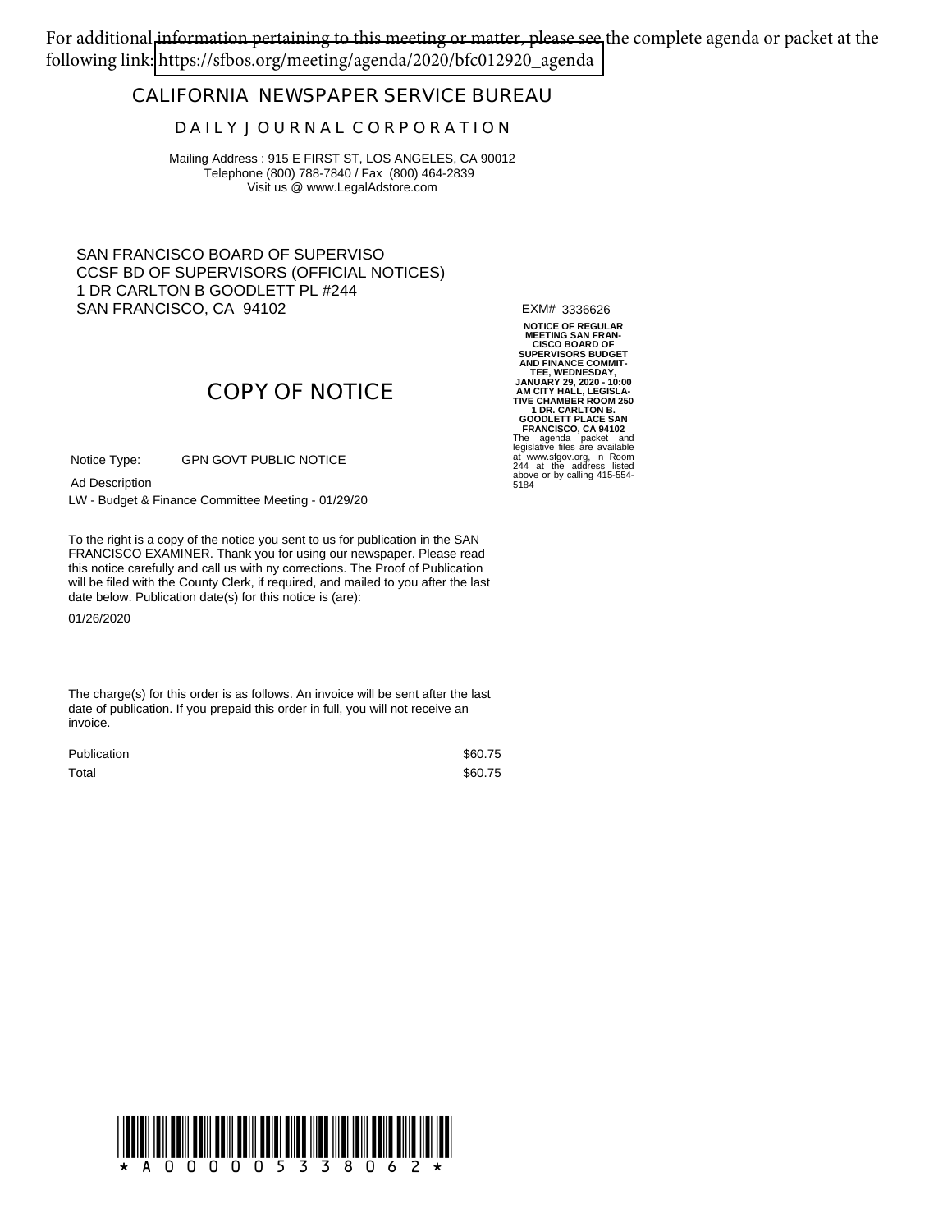For additional information pertaining to this meeting or matter, please see the complete agenda or packet at the following link: [https://sfbos.org/meeting/agenda/2020/bfc012920\\_agenda](https://sfbos.org/meeting/agenda/2020/bfc012920_agenda)

### **CALIFORNIA NEWSPAPER SERVICE BUREAU**

#### **D A I L Y J O U R N A L C O R P O R A T I O N**

Mailing Address : 915 E FIRST ST, LOS ANGELES, CA 90012 Telephone (800) 788-7840 / Fax (800) 464-2839 Visit us @ www.LegalAdstore.com

SAN FRANCISCO BOARD OF SUPERVISO CCSF BD OF SUPERVISORS (OFFICIAL NOTICES) 1 DR CARLTON B GOODLETT PL #244 SAN FRANCISCO, CA 94102

EXM# 3336626

# **COPY OF NOTICE**

GPN GOVT PUBLIC NOTICE Notice Type:

Ad Description

LW - Budget & Finance Committee Meeting - 01/29/20

FRANCISCO EXAMINER. Thank you for using our newspaper. Please read<br>this notice carefully and call us with ny corrections. The Proof of Publication To the right is a copy of the notice you sent to us for publication in the SAN FRANCISCO EXAMINER. Thank you for using our newspaper. Please read will be filed with the County Clerk, if required, and mailed to you after the last date below. Publication date(s) for this notice is (are):

01/26/2020

The charge(s) for this order is as follows. An invoice will be sent after the last date of publication. If you prepaid this order in full, you will not receive an invoice.

| <b>Publication</b> | \$60.75 |
|--------------------|---------|
| Total              | \$60.75 |

**NOTICE OF REGULAR MEETING SAN FRAN-CISCO BOARD OF SUPERVISORS BUDGET AND FINANCE COMMIT-TEE, WEDNESDAY, JANUARY 29, 2020 - 10:00 AM CITY HALL, LEGISLA-TIVE CHAMBER ROOM 250 1 DR. CARLTON B. GOODLETT PLACE SAN FRANCISCO, CA 94102** The agenda packet and legislative files are available at www.sfgov.org, in Room 244 at the address listed above or by calling 415-554- 5184